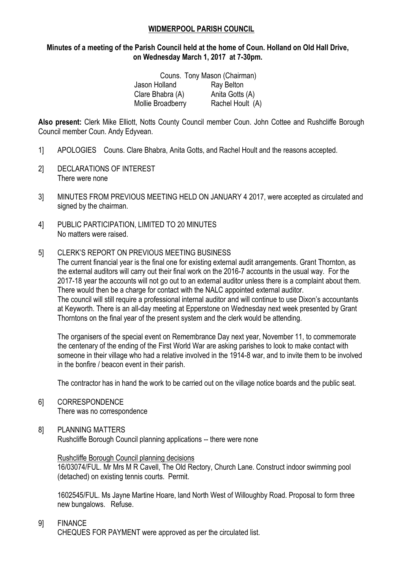### **WIDMERPOOL PARISH COUNCIL**

## **Minutes of a meeting of the Parish Council held at the home of Coun. Holland on Old Hall Drive, on Wednesday March 1, 2017 at 7-30pm.**

|                   | Couns. Tony Mason (Chairman) |
|-------------------|------------------------------|
| Jason Holland     | <b>Ray Belton</b>            |
| Clare Bhabra (A)  | Anita Gotts (A)              |
| Mollie Broadberry | Rachel Hoult (A)             |

**Also present:** Clerk Mike Elliott, Notts County Council member Coun. John Cottee and Rushcliffe Borough Council member Coun. Andy Edyvean.

- 1] APOLOGIES Couns. Clare Bhabra, Anita Gotts, and Rachel Hoult and the reasons accepted.
- 2] DECLARATIONS OF INTEREST There were none
- 3] MINUTES FROM PREVIOUS MEETING HELD ON JANUARY 4 2017, were accepted as circulated and signed by the chairman.
- 4] PUBLIC PARTICIPATION, LIMITED TO 20 MINUTES No matters were raised.
- 5] CLERK'S REPORT ON PREVIOUS MEETING BUSINESS

The current financial year is the final one for existing external audit arrangements. Grant Thornton, as the external auditors will carry out their final work on the 2016-7 accounts in the usual way. For the 2017-18 year the accounts will not go out to an external auditor unless there is a complaint about them. There would then be a charge for contact with the NALC appointed external auditor. The council will still require a professional internal auditor and will continue to use Dixon's accountants at Keyworth. There is an all-day meeting at Epperstone on Wednesday next week presented by Grant Thorntons on the final year of the present system and the clerk would be attending.

The organisers of the special event on Remembrance Day next year, November 11, to commemorate the centenary of the ending of the First World War are asking parishes to look to make contact with someone in their village who had a relative involved in the 1914-8 war, and to invite them to be involved in the bonfire / beacon event in their parish.

The contractor has in hand the work to be carried out on the village notice boards and the public seat.

6] CORRESPONDENCE There was no correspondence

## 8] PLANNING MATTERS

Rushcliffe Borough Council planning applications -- there were none

#### Rushcliffe Borough Council planning decisions

16/03074/FUL. Mr Mrs M R Cavell, The Old Rectory, Church Lane. Construct indoor swimming pool (detached) on existing tennis courts. Permit.

1602545/FUL. Ms Jayne Martine Hoare, land North West of Willoughby Road. Proposal to form three new bungalows. Refuse.

#### 9] FINANCE

CHEQUES FOR PAYMENT were approved as per the circulated list.